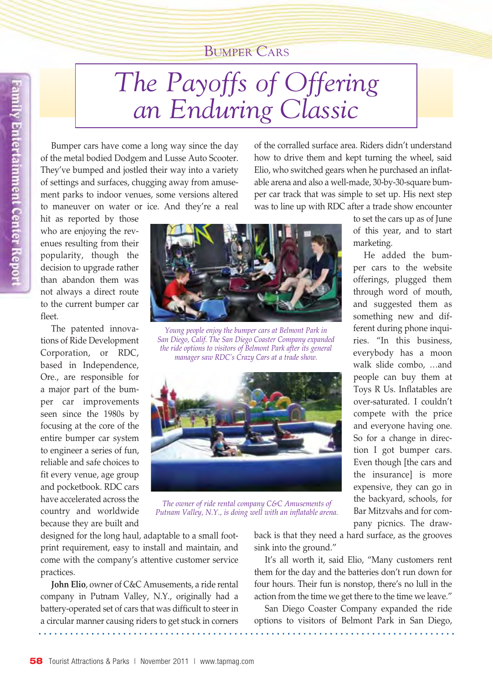## Bumper Cars

Bumper cars have come a long way since the day of the metal bodied Dodgem and Lusse Auto Scooter. They've bumped and jostled their way into a variety of settings and surfaces, chugging away from amusement parks to indoor venues, some versions altered to maneuver on water or ice. And they're a real

hit as reported by those who are enjoying the revenues resulting from their popularity, though the decision to upgrade rather than abandon them was not always a direct route to the current bumper car fleet.

amily Entertainment Center Report

The patented innovations of Ride Development Corporation, or RDC, based in Independence, Ore., are responsible for a major part of the bumper car improvements seen since the 1980s by focusing at the core of the entire bumper car system to engineer a series of fun, reliable and safe choices to fit every venue, age group and pocketbook. RDC cars have accelerated across the country and worldwide because they are built and



*Young people enjoy the bumper cars at Belmont Park in San Diego, Calif. The San Diego Coaster Company expanded the ride options to visitors of Belmont Park after its general manager saw RDC's Crazy Cars at a trade show.*



*The owner of ride rental company C&C Amusements of Putnam Valley, N.Y., is doing well with an inflatable arena.*

how to drive them and kept turning the wheel, said Elio, who switched gears when he purchased an inflatable arena and also a well-made, 30-by-30-square bumper car track that was simple to set up. His next step was to line up with RDC after a trade show encounter

of the corralled surface area. Riders didn't understand

to set the cars up as of June of this year, and to start marketing.

He added the bumper cars to the website offerings, plugged them through word of mouth, and suggested them as something new and different during phone inquiries. "In this business, everybody has a moon walk slide combo, …and people can buy them at Toys R Us. Inflatables are over-saturated. I couldn't compete with the price and everyone having one. So for a change in direction I got bumper cars. Even though [the cars and the insurance] is more expensive, they can go in the backyard, schools, for Bar Mitzvahs and for company picnics. The draw-

designed for the long haul, adaptable to a small footprint requirement, easy to install and maintain, and come with the company's attentive customer service practices.

**John Elio**, owner of C&C Amusements, a ride rental company in Putnam Valley, N.Y., originally had a battery-operated set of cars that was difficult to steer in a circular manner causing riders to get stuck in corners

back is that they need a hard surface, as the grooves sink into the ground."

It's all worth it, said Elio, "Many customers rent them for the day and the batteries don't run down for four hours. Their fun is nonstop, there's no lull in the action from the time we get there to the time we leave."

San Diego Coaster Company expanded the ride options to visitors of Belmont Park in San Diego,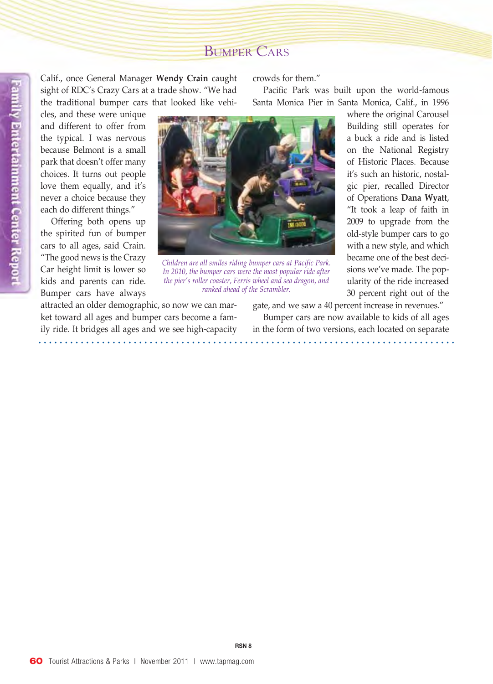## Bumper Cars

Calif., once General Manager **Wendy Crain** caught sight of RDC's Crazy Cars at a trade show. "We had the traditional bumper cars that looked like vehi-

cles, and these were unique and different to offer from the typical. I was nervous because Belmont is a small park that doesn't offer many choices. It turns out people love them equally, and it's never a choice because they each do different things."

Offering both opens up the spirited fun of bumper cars to all ages, said Crain. "The good news is the Crazy Car height limit is lower so kids and parents can ride. Bumper cars have always

crowds for them."

Pacific Park was built upon the world-famous Santa Monica Pier in Santa Monica, Calif., in 1996



*Children are all smiles riding bumper cars at Pacific Park. In 2010, the bumper cars were the most popular ride after the pier's roller coaster, Ferris wheel and sea dragon, and ranked ahead of the Scrambler.*

attracted an older demographic, so now we can market toward all ages and bumper cars become a family ride. It bridges all ages and we see high-capacity where the original Carousel Building still operates for a buck a ride and is listed on the National Registry of Historic Places. Because it's such an historic, nostalgic pier, recalled Director of Operations **Dana Wyatt**, "It took a leap of faith in 2009 to upgrade from the old-style bumper cars to go with a new style, and which became one of the best decisions we've made. The popularity of the ride increased 30 percent right out of the

gate, and we saw a 40 percent increase in revenues."

Bumper cars are now available to kids of all ages in the form of two versions, each located on separate